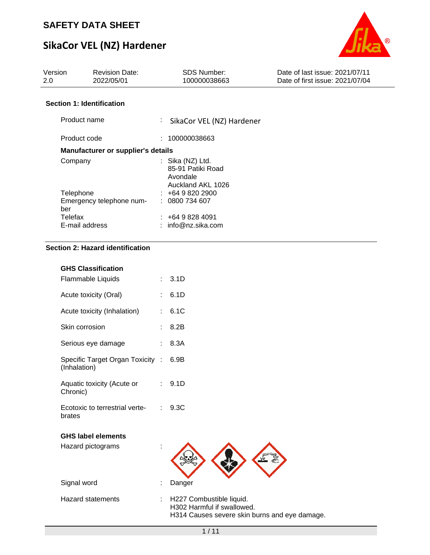# **SikaCor VEL (NZ) Hardener**



| Version<br>2.0                   | <b>Revision Date:</b><br>2022/05/01       | SDS Number:<br>100000038663                                              | Date of last issue: 2021/07/11<br>Date of first issue: 2021/07/04 |
|----------------------------------|-------------------------------------------|--------------------------------------------------------------------------|-------------------------------------------------------------------|
| <b>Section 1: Identification</b> |                                           |                                                                          |                                                                   |
| Product name                     |                                           | t.<br>SikaCor VEL (NZ) Hardener                                          |                                                                   |
| Product code                     |                                           | : 100000038663                                                           |                                                                   |
|                                  | <b>Manufacturer or supplier's details</b> |                                                                          |                                                                   |
| Company                          |                                           | : Sika $(NZ)$ Ltd.<br>85-91 Patiki Road<br>Avondale<br>Auckland AKL 1026 |                                                                   |
| Telephone                        |                                           | $: +6498202900$                                                          |                                                                   |
| ber                              | Emergency telephone num-                  | : 0800734607                                                             |                                                                   |
| Telefax                          |                                           | : 46498284091                                                            |                                                                   |
| E-mail address                   |                                           | $:$ $\;$ info@nz.sika.com :                                              |                                                                   |

### **Section 2: Hazard identification**

| <b>GHS Classification</b>                        |    |                                                                                                         |
|--------------------------------------------------|----|---------------------------------------------------------------------------------------------------------|
| Flammable Liquids                                |    | 3.1D                                                                                                    |
| Acute toxicity (Oral)                            |    | 6.1D                                                                                                    |
| Acute toxicity (Inhalation)                      |    | 6.1C                                                                                                    |
| Skin corrosion                                   |    | 8.2B                                                                                                    |
| Serious eye damage                               |    | 8.3A                                                                                                    |
| Specific Target Organ Toxicity :<br>(Inhalation) |    | 6.9B                                                                                                    |
| Aquatic toxicity (Acute or<br>Chronic)           | t. | 9.1D                                                                                                    |
| Ecotoxic to terrestrial verte-<br>brates         |    | 9.3C                                                                                                    |
| <b>GHS label elements</b>                        |    |                                                                                                         |
| Hazard pictograms                                |    |                                                                                                         |
| Signal word                                      |    | Danger                                                                                                  |
| <b>Hazard statements</b>                         | t. | H227 Combustible liquid.<br>H302 Harmful if swallowed.<br>H314 Causes severe skin burns and eye damage. |
|                                                  |    | 1/11                                                                                                    |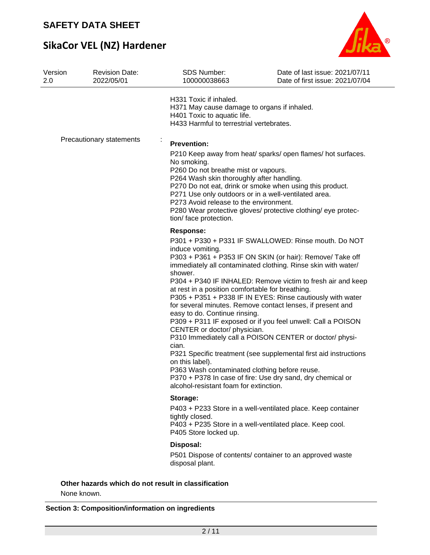# **SikaCor VEL (NZ) Hardener**



| Version<br>2.0 | <b>Revision Date:</b><br>2022/05/01                 | <b>SDS Number:</b><br>100000038663                                                                                                                                                                                                                                      | Date of last issue: 2021/07/11<br>Date of first issue: 2021/07/04                                                                                                                                                                                                                                                                                                                                                                                                                                                                                                                                                                         |
|----------------|-----------------------------------------------------|-------------------------------------------------------------------------------------------------------------------------------------------------------------------------------------------------------------------------------------------------------------------------|-------------------------------------------------------------------------------------------------------------------------------------------------------------------------------------------------------------------------------------------------------------------------------------------------------------------------------------------------------------------------------------------------------------------------------------------------------------------------------------------------------------------------------------------------------------------------------------------------------------------------------------------|
|                |                                                     | H331 Toxic if inhaled.<br>H371 May cause damage to organs if inhaled.<br>H401 Toxic to aquatic life.<br>H433 Harmful to terrestrial vertebrates.                                                                                                                        |                                                                                                                                                                                                                                                                                                                                                                                                                                                                                                                                                                                                                                           |
|                | Precautionary statements                            | ĵ,<br><b>Prevention:</b>                                                                                                                                                                                                                                                |                                                                                                                                                                                                                                                                                                                                                                                                                                                                                                                                                                                                                                           |
|                |                                                     | No smoking.<br>P260 Do not breathe mist or vapours.<br>P264 Wash skin thoroughly after handling.<br>P271 Use only outdoors or in a well-ventilated area.<br>P273 Avoid release to the environment.<br>tion/face protection.                                             | P210 Keep away from heat/ sparks/ open flames/ hot surfaces.<br>P270 Do not eat, drink or smoke when using this product.<br>P280 Wear protective gloves/ protective clothing/ eye protec-                                                                                                                                                                                                                                                                                                                                                                                                                                                 |
|                |                                                     | <b>Response:</b>                                                                                                                                                                                                                                                        |                                                                                                                                                                                                                                                                                                                                                                                                                                                                                                                                                                                                                                           |
|                |                                                     | induce vomiting.<br>shower.<br>at rest in a position comfortable for breathing.<br>easy to do. Continue rinsing.<br>CENTER or doctor/ physician.<br>cian.<br>on this label).<br>P363 Wash contaminated clothing before reuse.<br>alcohol-resistant foam for extinction. | P301 + P330 + P331 IF SWALLOWED: Rinse mouth. Do NOT<br>P303 + P361 + P353 IF ON SKIN (or hair): Remove/ Take off<br>immediately all contaminated clothing. Rinse skin with water/<br>P304 + P340 IF INHALED: Remove victim to fresh air and keep<br>P305 + P351 + P338 IF IN EYES: Rinse cautiously with water<br>for several minutes. Remove contact lenses, if present and<br>P309 + P311 IF exposed or if you feel unwell: Call a POISON<br>P310 Immediately call a POISON CENTER or doctor/ physi-<br>P321 Specific treatment (see supplemental first aid instructions<br>P370 + P378 In case of fire: Use dry sand, dry chemical or |
|                |                                                     | Storage:                                                                                                                                                                                                                                                                |                                                                                                                                                                                                                                                                                                                                                                                                                                                                                                                                                                                                                                           |
|                |                                                     | tightly closed.<br>P405 Store locked up.                                                                                                                                                                                                                                | P403 + P233 Store in a well-ventilated place. Keep container<br>P403 + P235 Store in a well-ventilated place. Keep cool.                                                                                                                                                                                                                                                                                                                                                                                                                                                                                                                  |
|                |                                                     | Disposal:                                                                                                                                                                                                                                                               |                                                                                                                                                                                                                                                                                                                                                                                                                                                                                                                                                                                                                                           |
|                |                                                     | disposal plant.                                                                                                                                                                                                                                                         | P501 Dispose of contents/ container to an approved waste                                                                                                                                                                                                                                                                                                                                                                                                                                                                                                                                                                                  |
|                | Other hazards which do not result in classification |                                                                                                                                                                                                                                                                         |                                                                                                                                                                                                                                                                                                                                                                                                                                                                                                                                                                                                                                           |

None known.

#### **Section 3: Composition/information on ingredients**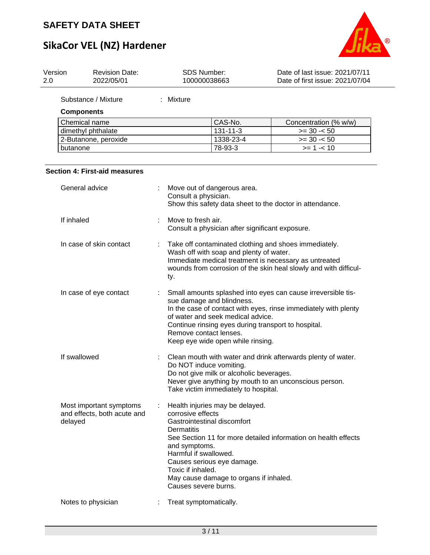# **SikaCor VEL (NZ) Hardener**



| Version<br>2.0 |              | <b>Revision Date:</b><br>2022/05/01                    |   | SDS Number:<br>100000038663                                                                                            |                                                                                                                                                            | Date of last issue: 2021/07/11<br>Date of first issue: 2021/07/04                                                                                                                  |
|----------------|--------------|--------------------------------------------------------|---|------------------------------------------------------------------------------------------------------------------------|------------------------------------------------------------------------------------------------------------------------------------------------------------|------------------------------------------------------------------------------------------------------------------------------------------------------------------------------------|
|                |              | Substance / Mixture                                    |   | : Mixture                                                                                                              |                                                                                                                                                            |                                                                                                                                                                                    |
|                |              | <b>Components</b>                                      |   |                                                                                                                        |                                                                                                                                                            |                                                                                                                                                                                    |
|                |              | Chemical name                                          |   |                                                                                                                        | CAS-No.                                                                                                                                                    | Concentration (% w/w)                                                                                                                                                              |
|                |              | dimethyl phthalate                                     |   |                                                                                                                        | $131 - 11 - 3$                                                                                                                                             | $>= 30 - 50$                                                                                                                                                                       |
|                |              | 2-Butanone, peroxide                                   |   |                                                                                                                        | 1338-23-4                                                                                                                                                  | $>= 30 - 50$                                                                                                                                                                       |
|                | butanone     |                                                        |   |                                                                                                                        | 78-93-3                                                                                                                                                    | $>= 1 - 10$                                                                                                                                                                        |
|                |              | <b>Section 4: First-aid measures</b>                   |   |                                                                                                                        |                                                                                                                                                            |                                                                                                                                                                                    |
|                |              | General advice                                         |   | Consult a physician.                                                                                                   | Move out of dangerous area.                                                                                                                                | Show this safety data sheet to the doctor in attendance.                                                                                                                           |
|                | If inhaled   |                                                        |   | Move to fresh air.                                                                                                     | Consult a physician after significant exposure.                                                                                                            |                                                                                                                                                                                    |
|                |              | In case of skin contact                                | ÷ | ty.                                                                                                                    | Wash off with soap and plenty of water.                                                                                                                    | Take off contaminated clothing and shoes immediately.<br>Immediate medical treatment is necessary as untreated<br>wounds from corrosion of the skin heal slowly and with difficul- |
|                |              | In case of eye contact                                 |   | Remove contact lenses.                                                                                                 | sue damage and blindness.<br>of water and seek medical advice.<br>Continue rinsing eyes during transport to hospital.<br>Keep eye wide open while rinsing. | Small amounts splashed into eyes can cause irreversible tis-<br>In the case of contact with eyes, rinse immediately with plenty                                                    |
|                | If swallowed |                                                        |   | Do NOT induce vomiting.                                                                                                | Do not give milk or alcoholic beverages.<br>Take victim immediately to hospital.                                                                           | Clean mouth with water and drink afterwards plenty of water.<br>Never give anything by mouth to an unconscious person.                                                             |
|                | delayed      | Most important symptoms<br>and effects, both acute and |   | corrosive effects<br>Dermatitis<br>and symptoms.<br>Harmful if swallowed.<br>Toxic if inhaled.<br>Causes severe burns. | Health injuries may be delayed.<br>Gastrointestinal discomfort<br>Causes serious eye damage.<br>May cause damage to organs if inhaled.                     | See Section 11 for more detailed information on health effects                                                                                                                     |
|                |              | Notes to physician                                     |   | Treat symptomatically.                                                                                                 |                                                                                                                                                            |                                                                                                                                                                                    |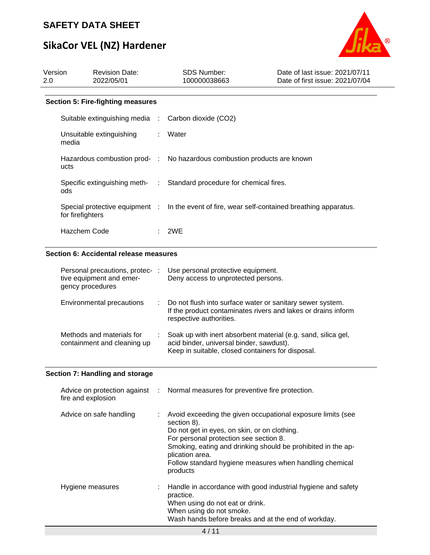# **SikaCor VEL (NZ) Hardener**



| Version<br>2.0 |                    | <b>Revision Date:</b><br>2022/05/01                         |               | SDS Number:<br>100000038663                                                                                                                                                                                                                                                                                                    | Date of last issue: 2021/07/11<br>Date of first issue: 2021/07/04 |
|----------------|--------------------|-------------------------------------------------------------|---------------|--------------------------------------------------------------------------------------------------------------------------------------------------------------------------------------------------------------------------------------------------------------------------------------------------------------------------------|-------------------------------------------------------------------|
|                |                    | <b>Section 5: Fire-fighting measures</b>                    |               |                                                                                                                                                                                                                                                                                                                                |                                                                   |
|                |                    | Suitable extinguishing media                                | $\mathcal{L}$ | Carbon dioxide (CO2)                                                                                                                                                                                                                                                                                                           |                                                                   |
|                | media              | Unsuitable extinguishing                                    |               | Water                                                                                                                                                                                                                                                                                                                          |                                                                   |
|                | ucts               | Hazardous combustion prod-                                  | $\sim 100$    | No hazardous combustion products are known                                                                                                                                                                                                                                                                                     |                                                                   |
|                | ods                | Specific extinguishing meth-                                |               | Standard procedure for chemical fires.                                                                                                                                                                                                                                                                                         |                                                                   |
|                | for firefighters   | Special protective equipment :                              |               | In the event of fire, wear self-contained breathing apparatus.                                                                                                                                                                                                                                                                 |                                                                   |
|                | Hazchem Code       |                                                             |               | 2WE                                                                                                                                                                                                                                                                                                                            |                                                                   |
|                |                    | Section 6: Accidental release measures                      |               |                                                                                                                                                                                                                                                                                                                                |                                                                   |
|                | gency procedures   | Personal precautions, protec- :<br>tive equipment and emer- |               | Use personal protective equipment.<br>Deny access to unprotected persons.                                                                                                                                                                                                                                                      |                                                                   |
|                |                    | Environmental precautions                                   |               | Do not flush into surface water or sanitary sewer system.<br>If the product contaminates rivers and lakes or drains inform<br>respective authorities.                                                                                                                                                                          |                                                                   |
|                |                    | Methods and materials for<br>containment and cleaning up    |               | Soak up with inert absorbent material (e.g. sand, silica gel,<br>acid binder, universal binder, sawdust).<br>Keep in suitable, closed containers for disposal.                                                                                                                                                                 |                                                                   |
|                |                    | Section 7: Handling and storage                             |               |                                                                                                                                                                                                                                                                                                                                |                                                                   |
|                | fire and explosion | Advice on protection against                                | ÷             | Normal measures for preventive fire protection.                                                                                                                                                                                                                                                                                |                                                                   |
|                |                    | Advice on safe handling                                     |               | Avoid exceeding the given occupational exposure limits (see<br>section 8).<br>Do not get in eyes, on skin, or on clothing.<br>For personal protection see section 8.<br>Smoking, eating and drinking should be prohibited in the ap-<br>plication area.<br>Follow standard hygiene measures when handling chemical<br>products |                                                                   |
|                | Hygiene measures   |                                                             |               | Handle in accordance with good industrial hygiene and safety<br>practice.<br>When using do not eat or drink.<br>When using do not smoke.<br>Wash hands before breaks and at the end of workday.<br>4/11                                                                                                                        |                                                                   |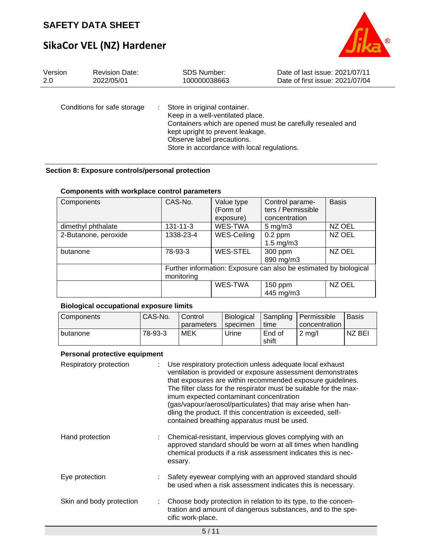# **SikaCor VEL (NZ) Hardener**



| Version | <b>Revision Date:</b>       | <b>SDS Number:</b>                                                                                                                                                                | Date of last issue: 2021/07/11                             |
|---------|-----------------------------|-----------------------------------------------------------------------------------------------------------------------------------------------------------------------------------|------------------------------------------------------------|
| 2.0     | 2022/05/01                  | 100000038663                                                                                                                                                                      | Date of first issue: 2021/07/04                            |
|         | Conditions for safe storage | Store in original container.<br>Keep in a well-ventilated place.<br>kept upright to prevent leakage.<br>Observe label precautions.<br>Store in accordance with local regulations. | Containers which are opened must be carefully resealed and |

### **Section 8: Exposure controls/personal protection**

#### **Components with workplace control parameters**

| Components           | CAS-No.        | Value type         | Control parame-                                                   | <b>Basis</b> |
|----------------------|----------------|--------------------|-------------------------------------------------------------------|--------------|
|                      |                | (Form of           | ters / Permissible                                                |              |
|                      |                | exposure)          | concentration                                                     |              |
| dimethyl phthalate   | $131 - 11 - 3$ | <b>WES-TWA</b>     | $5 \text{ mg/m}$ 3                                                | NZ OEL       |
| 2-Butanone, peroxide | 1338-23-4      | <b>WES-Ceiling</b> | $0.2$ ppm                                                         | NZ OEL       |
|                      |                |                    | $1.5 \text{ mg/m}$ 3                                              |              |
| butanone             | 78-93-3        | <b>WES-STEL</b>    | 300 ppm                                                           | NZ OEL       |
|                      |                |                    | 890 mg/m3                                                         |              |
|                      |                |                    | Further information: Exposure can also be estimated by biological |              |
|                      | monitoring     |                    |                                                                   |              |
|                      |                | WES-TWA            | 150 ppm                                                           | NZ OEL       |
|                      |                |                    | 445 mg/m3                                                         |              |

#### **Biological occupational exposure limits**

| Components | CAS-No. | Control    | <b>Biological</b> | Sampling | I Permissible     | <b>Basis</b> |
|------------|---------|------------|-------------------|----------|-------------------|--------------|
|            |         | parameters | specimen          | time     | concentration     |              |
| butanone   | 78-93-3 | MEK        | Urine             | End of   | $2 \text{ m}$ g/l | NZ BEI       |
|            |         |            |                   | shift    |                   |              |

#### **Personal protective equipment**

| Respiratory protection   | Use respiratory protection unless adequate local exhaust<br>ventilation is provided or exposure assessment demonstrates<br>that exposures are within recommended exposure guidelines.<br>The filter class for the respirator must be suitable for the max-<br>imum expected contaminant concentration<br>(gas/vapour/aerosol/particulates) that may arise when han-<br>dling the product. If this concentration is exceeded, self-<br>contained breathing apparatus must be used. |
|--------------------------|-----------------------------------------------------------------------------------------------------------------------------------------------------------------------------------------------------------------------------------------------------------------------------------------------------------------------------------------------------------------------------------------------------------------------------------------------------------------------------------|
| Hand protection          | Chemical-resistant, impervious gloves complying with an<br>approved standard should be worn at all times when handling<br>chemical products if a risk assessment indicates this is nec-<br>essary.                                                                                                                                                                                                                                                                                |
| Eye protection           | Safety eyewear complying with an approved standard should<br>be used when a risk assessment indicates this is necessary.                                                                                                                                                                                                                                                                                                                                                          |
| Skin and body protection | Choose body protection in relation to its type, to the concen-<br>tration and amount of dangerous substances, and to the spe-<br>cific work-place.                                                                                                                                                                                                                                                                                                                                |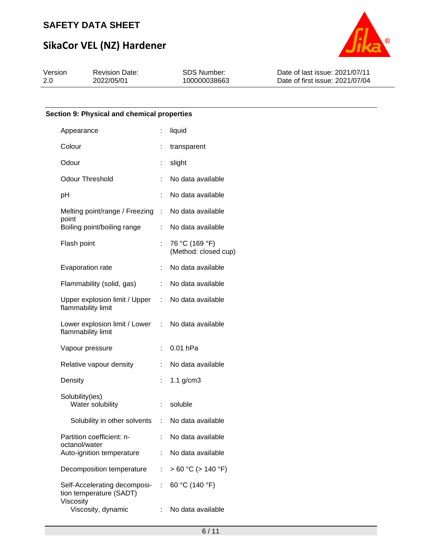# **SikaCor VEL (NZ) Hardener**



| Version | <b>Revision Date:</b> | <b>SDS Number:</b> | Date of last issue: 2021/07/11  |
|---------|-----------------------|--------------------|---------------------------------|
| -2.0    | 2022/05/01            | 100000038663       | Date of first issue: 2021/07/04 |

### **Section 9: Physical and chemical properties**

| Appearance                                              | t.             | liquid                                 |
|---------------------------------------------------------|----------------|----------------------------------------|
| Colour                                                  | t              | transparent                            |
| Odour                                                   | t              | slight                                 |
| <b>Odour Threshold</b>                                  |                | No data available                      |
| рH                                                      | t.             | No data available                      |
| Melting point/range / Freezing                          | ÷              | No data available                      |
| point<br>Boiling point/boiling range                    | t.             | No data available                      |
| Flash point                                             | t.             | 76 °C (169 °F)<br>(Method: closed cup) |
| Evaporation rate                                        | t              | No data available                      |
| Flammability (solid, gas)                               | t,             | No data available                      |
| Upper explosion limit / Upper :<br>flammability limit   |                | No data available                      |
| Lower explosion limit / Lower<br>flammability limit     | $\mathbb{R}^n$ | No data available                      |
| Vapour pressure                                         | ÷              | $0.01$ hPa                             |
| Relative vapour density                                 |                | No data available                      |
| Density                                                 |                | $1.1$ g/cm $3$                         |
| Solubility(ies)<br>Water solubility                     | t,             | soluble                                |
| Solubility in other solvents :                          |                | No data available                      |
| Partition coefficient: n-                               |                | No data available                      |
| octanol/water<br>Auto-ignition temperature              | t.             | No data available                      |
| Decomposition temperature                               | t.             | $> 60 °C$ ( $> 140 °F$ )               |
| Self-Accelerating decomposi-<br>tion temperature (SADT) | t.             | 60 °C (140 °F)                         |
| Viscosity<br>Viscosity, dynamic                         | ÷              | No data available                      |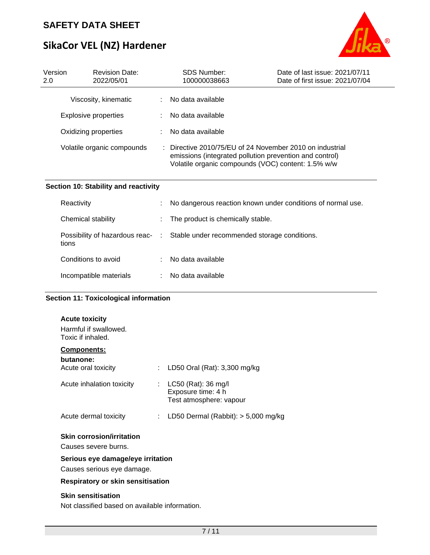# **SikaCor VEL (NZ) Hardener**



| Version<br>2.0 | <b>Revision Date:</b><br>2022/05/01 |   | <b>SDS Number:</b><br>100000038663                                                                                                                                      | Date of last issue: 2021/07/11<br>Date of first issue: 2021/07/04 |
|----------------|-------------------------------------|---|-------------------------------------------------------------------------------------------------------------------------------------------------------------------------|-------------------------------------------------------------------|
|                | Viscosity, kinematic                | ÷ | No data available                                                                                                                                                       |                                                                   |
|                | Explosive properties                |   | No data available                                                                                                                                                       |                                                                   |
|                | Oxidizing properties                |   | No data available                                                                                                                                                       |                                                                   |
|                | Volatile organic compounds          |   | Directive 2010/75/EU of 24 November 2010 on industrial<br>emissions (integrated pollution prevention and control)<br>Volatile organic compounds (VOC) content: 1.5% w/w |                                                                   |

### **Section 10: Stability and reactivity**

| Reactivity             | t. | No dangerous reaction known under conditions of normal use.                   |
|------------------------|----|-------------------------------------------------------------------------------|
| Chemical stability     |    | : The product is chemically stable.                                           |
| tions                  |    | Possibility of hazardous reac- : Stable under recommended storage conditions. |
| Conditions to avoid    |    | No data available                                                             |
| Incompatible materials |    | No data available                                                             |

### **Section 11: Toxicological information**

| <b>Acute toxicity</b><br>Harmful if swallowed.<br>Toxic if inhaled.         |    |                                                                      |
|-----------------------------------------------------------------------------|----|----------------------------------------------------------------------|
| <b>Components:</b>                                                          |    |                                                                      |
| butanone:<br>Acute oral toxicity                                            |    | LD50 Oral (Rat): 3,300 mg/kg                                         |
| Acute inhalation toxicity                                                   | t. | LC50 (Rat): 36 mg/l<br>Exposure time: 4 h<br>Test atmosphere: vapour |
| Acute dermal toxicity                                                       | ÷. | LD50 Dermal (Rabbit): $>$ 5,000 mg/kg                                |
| <b>Skin corrosion/irritation</b><br>Causes severe burns.                    |    |                                                                      |
| Serious eye damage/eye irritation<br>Causes serious eye damage.             |    |                                                                      |
| Respiratory or skin sensitisation                                           |    |                                                                      |
| <b>Skin sensitisation</b><br>Not classified based on available information. |    |                                                                      |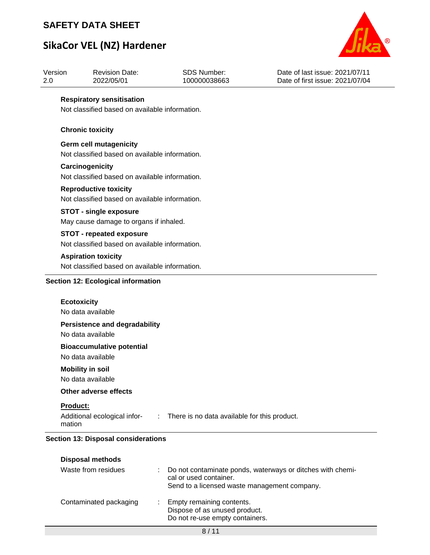# **SikaCor VEL (NZ) Hardener**



| Version<br>2.0 | <b>Revision Date:</b><br>2022/05/01            | <b>SDS Number:</b><br>100000038663           | Date of last issue: 2021/07/11<br>Date of first issue: 2021/07/04 |  |  |  |  |
|----------------|------------------------------------------------|----------------------------------------------|-------------------------------------------------------------------|--|--|--|--|
|                | <b>Respiratory sensitisation</b>               |                                              |                                                                   |  |  |  |  |
|                | Not classified based on available information. |                                              |                                                                   |  |  |  |  |
|                | <b>Chronic toxicity</b>                        |                                              |                                                                   |  |  |  |  |
|                | <b>Germ cell mutagenicity</b>                  |                                              |                                                                   |  |  |  |  |
|                | Not classified based on available information. |                                              |                                                                   |  |  |  |  |
|                | Carcinogenicity                                |                                              |                                                                   |  |  |  |  |
|                | Not classified based on available information. |                                              |                                                                   |  |  |  |  |
|                | <b>Reproductive toxicity</b>                   |                                              |                                                                   |  |  |  |  |
|                | Not classified based on available information. |                                              |                                                                   |  |  |  |  |
|                | <b>STOT - single exposure</b>                  |                                              |                                                                   |  |  |  |  |
|                | May cause damage to organs if inhaled.         |                                              |                                                                   |  |  |  |  |
|                | <b>STOT - repeated exposure</b>                |                                              |                                                                   |  |  |  |  |
|                | Not classified based on available information. |                                              |                                                                   |  |  |  |  |
|                | <b>Aspiration toxicity</b>                     |                                              |                                                                   |  |  |  |  |
|                | Not classified based on available information. |                                              |                                                                   |  |  |  |  |
|                | <b>Section 12: Ecological information</b>      |                                              |                                                                   |  |  |  |  |
|                | <b>Ecotoxicity</b>                             |                                              |                                                                   |  |  |  |  |
|                | No data available                              |                                              |                                                                   |  |  |  |  |
|                | <b>Persistence and degradability</b>           |                                              |                                                                   |  |  |  |  |
|                | No data available                              |                                              |                                                                   |  |  |  |  |
|                | <b>Bioaccumulative potential</b>               |                                              |                                                                   |  |  |  |  |
|                | No data available                              |                                              |                                                                   |  |  |  |  |
|                | <b>Mobility in soil</b>                        |                                              |                                                                   |  |  |  |  |
|                | No data available                              |                                              |                                                                   |  |  |  |  |
|                | Other adverse effects                          |                                              |                                                                   |  |  |  |  |
|                | Product:                                       |                                              |                                                                   |  |  |  |  |
| mation         | Additional ecological infor-<br>$\sim 100$     | There is no data available for this product. |                                                                   |  |  |  |  |

| <b>Disposal methods</b> |
|-------------------------|
|                         |

| Waste from residues    | Do not contaminate ponds, waterways or ditches with chemi-<br>cal or used container.<br>Send to a licensed waste management company. |
|------------------------|--------------------------------------------------------------------------------------------------------------------------------------|
| Contaminated packaging | Empty remaining contents.<br>Dispose of as unused product.<br>Do not re-use empty containers.                                        |
|                        | 8/11                                                                                                                                 |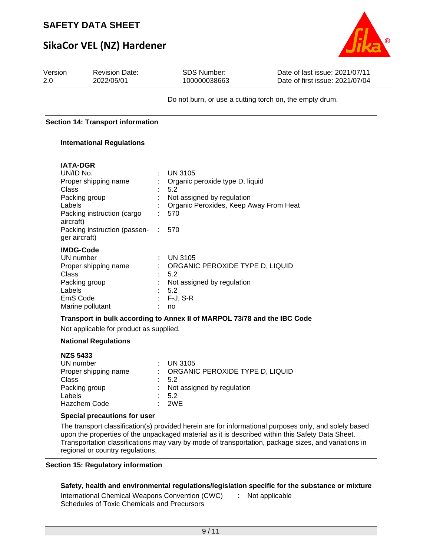# **SikaCor VEL (NZ) Hardener**



| Version<br>2.0                                                      | <b>Revision Date:</b><br>2022/05/01                                                                                                                                                                                                                                                          | <b>SDS Number:</b><br>100000038663                                                                                                                                                                                                                                                                                                                             | Date of last issue: 2021/07/11<br>Date of first issue: 2021/07/04                                                                                                                                                                                                                                                |
|---------------------------------------------------------------------|----------------------------------------------------------------------------------------------------------------------------------------------------------------------------------------------------------------------------------------------------------------------------------------------|----------------------------------------------------------------------------------------------------------------------------------------------------------------------------------------------------------------------------------------------------------------------------------------------------------------------------------------------------------------|------------------------------------------------------------------------------------------------------------------------------------------------------------------------------------------------------------------------------------------------------------------------------------------------------------------|
|                                                                     |                                                                                                                                                                                                                                                                                              |                                                                                                                                                                                                                                                                                                                                                                | Do not burn, or use a cutting torch on, the empty drum.                                                                                                                                                                                                                                                          |
|                                                                     | <b>Section 14: Transport information</b>                                                                                                                                                                                                                                                     |                                                                                                                                                                                                                                                                                                                                                                |                                                                                                                                                                                                                                                                                                                  |
|                                                                     | <b>International Regulations</b>                                                                                                                                                                                                                                                             |                                                                                                                                                                                                                                                                                                                                                                |                                                                                                                                                                                                                                                                                                                  |
| UN/ID No.<br><b>Class</b><br>Labels<br>aircraft)<br>Class<br>Labels | <b>IATA-DGR</b><br>Proper shipping name<br>Packing group<br>Packing instruction (cargo<br>Packing instruction (passen-<br>ger aircraft)<br><b>IMDG-Code</b><br>UN number<br>Proper shipping name<br>Packing group<br>EmS Code<br>Marine pollutant<br>Not applicable for product as supplied. | <b>UN 3105</b><br>Organic peroxide type D, liquid<br>5.2<br>Not assigned by regulation<br>Organic Peroxides, Keep Away From Heat<br>570<br>$\sim 10^6$<br>570<br><b>UN 3105</b><br>ORGANIC PEROXIDE TYPE D, LIQUID<br>5.2<br>Not assigned by regulation<br>5.2<br>$F-J, S-R$<br>no<br>Transport in bulk according to Annex II of MARPOL 73/78 and the IBC Code |                                                                                                                                                                                                                                                                                                                  |
|                                                                     | <b>National Regulations</b>                                                                                                                                                                                                                                                                  |                                                                                                                                                                                                                                                                                                                                                                |                                                                                                                                                                                                                                                                                                                  |
| <b>NZS 5433</b><br>Class<br>Labels                                  | UN number<br>Proper shipping name<br>Packing group<br><b>Hazchem Code</b>                                                                                                                                                                                                                    | <b>UN 3105</b><br>ORGANIC PEROXIDE TYPE D, LIQUID<br>5.2<br>Not assigned by regulation<br>5.2<br>2WE                                                                                                                                                                                                                                                           |                                                                                                                                                                                                                                                                                                                  |
|                                                                     | Special precautions for user<br>regional or country regulations.                                                                                                                                                                                                                             |                                                                                                                                                                                                                                                                                                                                                                | The transport classification(s) provided herein are for informational purposes only, and solely based<br>upon the properties of the unpackaged material as it is described within this Safety Data Sheet.<br>Transportation classifications may vary by mode of transportation, package sizes, and variations in |

#### **Section 15: Regulatory information**

## **Safety, health and environmental regulations/legislation specific for the substance or mixture**

International Chemical Weapons Convention (CWC) : Not applicableSchedules of Toxic Chemicals and Precursors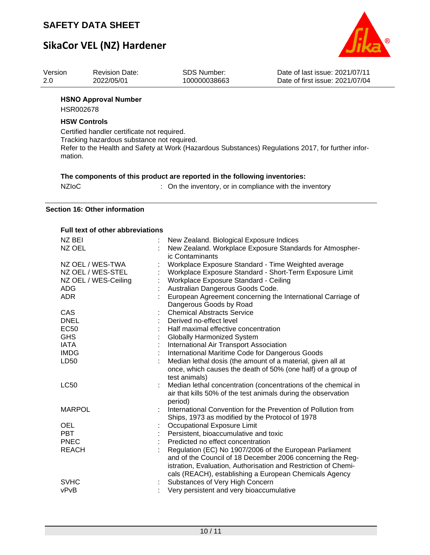# **SikaCor VEL (NZ) Hardener**



| Version | <b>Revision Date:</b>       | SDS Number:  | Date of last issue: 2021/07/11  |
|---------|-----------------------------|--------------|---------------------------------|
| 2.0     | 2022/05/01                  | 100000038663 | Date of first issue: 2021/07/04 |
|         | <b>HSNO Annroval Number</b> |              |                                 |

#### **HSNO Approval Number**

HSR002678

#### **HSW Controls**

Certified handler certificate not required. Tracking hazardous substance not required. Refer to the Health and Safety at Work (Hazardous Substances) Regulations 2017, for further information.

|  |  |  |  | The components of this product are reported in the following inventories: |
|--|--|--|--|---------------------------------------------------------------------------|
|  |  |  |  |                                                                           |

| <b>NZIOC</b> | : On the inventory, or in compliance with the inventory |
|--------------|---------------------------------------------------------|
|--------------|---------------------------------------------------------|

**Section 16: Other information**

#### **Full text of other abbreviations**

| NZ BEI               | New Zealand. Biological Exposure Indices                                                                                                                                                                                                          |
|----------------------|---------------------------------------------------------------------------------------------------------------------------------------------------------------------------------------------------------------------------------------------------|
| NZ OEL               | New Zealand. Workplace Exposure Standards for Atmospher-<br>ic Contaminants                                                                                                                                                                       |
| NZ OEL / WES-TWA     | Workplace Exposure Standard - Time Weighted average                                                                                                                                                                                               |
| NZ OEL / WES-STEL    | Workplace Exposure Standard - Short-Term Exposure Limit                                                                                                                                                                                           |
| NZ OEL / WES-Ceiling | Workplace Exposure Standard - Ceiling                                                                                                                                                                                                             |
| <b>ADG</b>           | Australian Dangerous Goods Code.                                                                                                                                                                                                                  |
| <b>ADR</b>           | European Agreement concerning the International Carriage of<br>Dangerous Goods by Road                                                                                                                                                            |
| CAS                  | <b>Chemical Abstracts Service</b>                                                                                                                                                                                                                 |
| <b>DNEL</b>          | Derived no-effect level                                                                                                                                                                                                                           |
| <b>EC50</b>          | Half maximal effective concentration                                                                                                                                                                                                              |
| <b>GHS</b>           | <b>Globally Harmonized System</b>                                                                                                                                                                                                                 |
| <b>IATA</b>          | International Air Transport Association                                                                                                                                                                                                           |
| <b>IMDG</b>          | International Maritime Code for Dangerous Goods                                                                                                                                                                                                   |
| LD50                 | Median lethal dosis (the amount of a material, given all at<br>once, which causes the death of 50% (one half) of a group of<br>test animals)                                                                                                      |
| <b>LC50</b>          | Median lethal concentration (concentrations of the chemical in<br>air that kills 50% of the test animals during the observation<br>period)                                                                                                        |
| <b>MARPOL</b>        | International Convention for the Prevention of Pollution from<br>Ships, 1973 as modified by the Protocol of 1978                                                                                                                                  |
| <b>OEL</b>           | Occupational Exposure Limit                                                                                                                                                                                                                       |
| <b>PBT</b>           | Persistent, bioaccumulative and toxic                                                                                                                                                                                                             |
| <b>PNEC</b>          | Predicted no effect concentration                                                                                                                                                                                                                 |
| <b>REACH</b>         | Regulation (EC) No 1907/2006 of the European Parliament<br>and of the Council of 18 December 2006 concerning the Reg-<br>istration, Evaluation, Authorisation and Restriction of Chemi-<br>cals (REACH), establishing a European Chemicals Agency |
| <b>SVHC</b><br>vPvB  | Substances of Very High Concern<br>Very persistent and very bioaccumulative                                                                                                                                                                       |